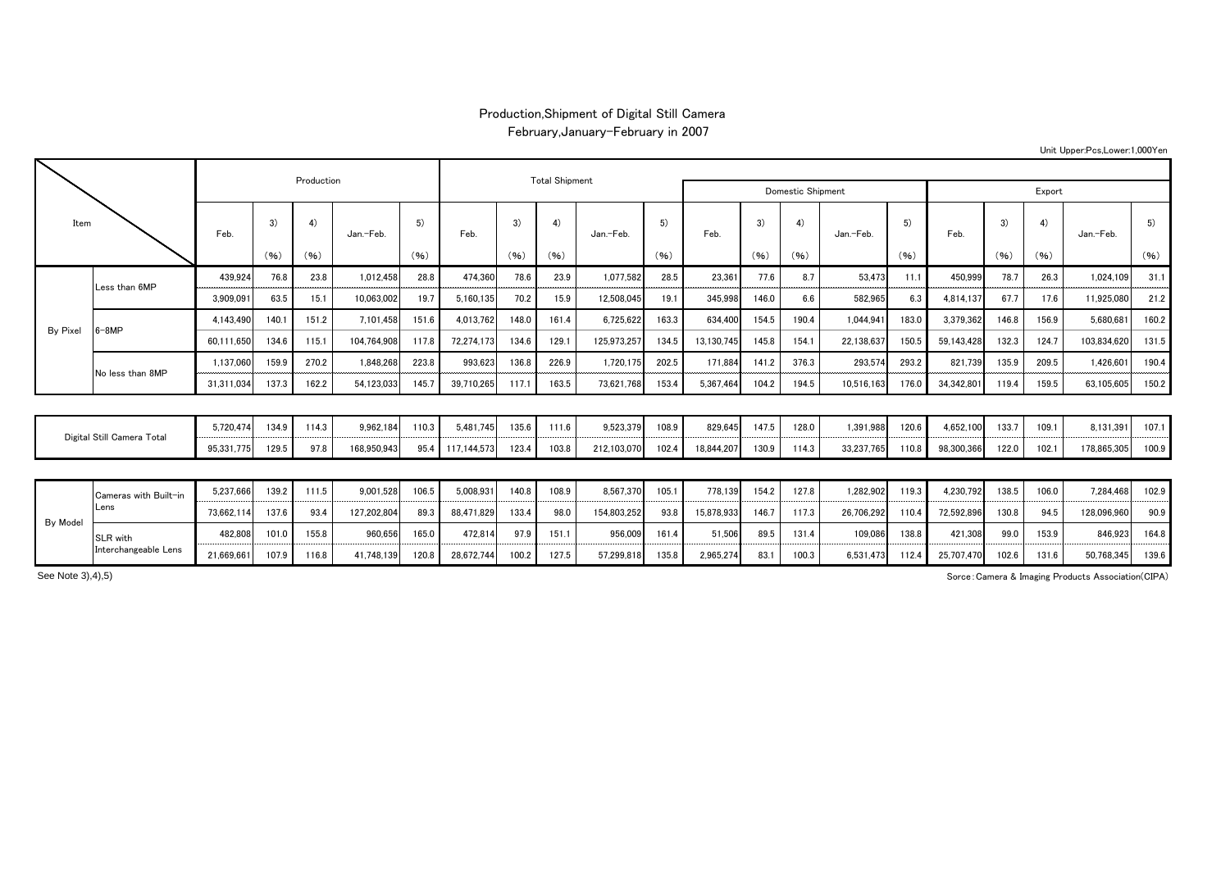## Production,Shipment of Digital Still Camera

February,January-February in 2007

| Item                       |                       |            |       | Production |             |       |             | <b>Total Shipment</b> |       |                   |            |            |        |       |            |       |            |       |            |             |       |
|----------------------------|-----------------------|------------|-------|------------|-------------|-------|-------------|-----------------------|-------|-------------------|------------|------------|--------|-------|------------|-------|------------|-------|------------|-------------|-------|
|                            |                       |            |       |            |             |       |             |                       |       | Domestic Shipment |            |            | Export |       |            |       |            |       |            |             |       |
|                            |                       | Feb        | 3)    | 4)         | Jan.-Feb.   | 5)    | Feb.        | 3)                    | 4)    | Jan.-Feb.         | 5)<br>(96) | Feb.       | 3)     | 4)    | Jan.-Feb.  | 5)    | Feb.       | 3)    | 4)<br>(96) | Jan.-Feb.   | 5)    |
|                            |                       |            | (96)  | (96)       |             | (96)  |             | (96)                  | (96)  |                   |            |            | (96)   | (96)  |            | (96)  |            | (96)  |            |             | (96)  |
|                            | Less than 6MP         | 439,924    | 76.8  | 23.8       | 1.012.458   | 28.8  | 474,360     | 78.6                  | 23.9  | 1,077,582         | 28.5       | 23,361     | 77.6   | 8.7   | 53.473     | 11.1  | 450,999    | 78.7  | 26.3       | 1.024.109   | 31.1  |
|                            |                       | 3,909,091  | 63.5  | 15.1       | 10,063,002  | 19.7  | 5,160,135   | 70.2                  | 15.9  | 12,508,045        | 19.1       | 345,998    | 146.0  | 6.6   | 582,965    | 6.3   | 4,814,137  | 67.7  | 17.6       | 11,925,080  | 21.2  |
| By Pixel                   | $6 - 8MP$             | 4.143.490  | 140.1 | 151.2      | 7,101,458   | 151.6 | 4,013,762   | 148.0                 | 161.4 | 6,725,622         | 163.3      | 634,400    | 154.5  | 190.4 | 1,044,941  | 183.0 | 3,379,362  | 146.8 | 156.9      | 5,680,681   | 160.2 |
|                            |                       | 60,111,650 | 134.6 | 115.1      | 104.764.908 | 117.8 | 72,274,173  | 134.6                 | 129.1 | 125,973,257       | 134.5      | 13,130,745 | 145.8  | 154.1 | 22,138,637 | 150.5 | 59,143,428 | 132.3 | 124.7      | 103,834,620 | 131.5 |
|                            | No less than 8MP      | 1,137,060  | 159.9 | 270.2      | 1,848,268   | 223.8 | 993,623     | 136.8                 | 226.9 | 1,720,175         | 202.5      | 171,884    | 141.2  | 376.3 | 293,574    | 293.2 | 821,739    | 135.9 | 209.5      | 1,426,601   | 190.4 |
|                            |                       | 31,311,034 | 137.3 | 162.2      | 54,123,033  | 145.  | 39,710,265  | 117.1                 | 163.5 | 73.621.768        | 153.4      | 5.367.464  | 104.2  | 194.5 | 10.516.163 | 176.0 | 34.342.801 | 119.4 | 159.5      | 63,105,605  | 150.2 |
|                            |                       |            |       |            |             |       |             |                       |       |                   |            |            |        |       |            |       |            |       |            |             |       |
| Digital Still Camera Total |                       | 5.720.474  | 134.9 | 114.3      | 9.962.184   | 110.3 | 5.481.745   | 135.6                 | 111.6 | 9.523.379         | 108.9      | 829.645    | 147.5  | 128.0 | 1.391.988  | 120.6 | 4,652,100  | 133.7 | 109.1      | 8.131.391   | 107.1 |
|                            |                       | 95,331,775 | 129.5 | 97.8       | 168,950,943 | 95.4  | 117,144,573 | 123.4                 | 103.8 | 212,103,070       | 102.4      | 18,844,207 | 130.9  | 114.3 | 33,237,765 | 110.8 | 98,300,366 | 122.0 | 102.1      | 178,865,305 | 100.9 |
|                            |                       |            |       |            |             |       |             |                       |       |                   |            |            |        |       |            |       |            |       |            |             |       |
| By Model                   | Cameras with Built-in | 5.237.666  | 139.2 | 111.5      | 9,001,528   | 106.5 | 5,008,931   | 140.8                 | 108.9 | 8,567,370         | 105.1      | 778,139    | 154.2  | 127.8 | 1,282,902  | 119.3 | 4,230,792  | 138.5 | 106.0      | 7,284,468   | 102.9 |
|                            | Lens                  | 73,662,114 | 137.6 | 93.4       | 127,202,804 | 89.3  | 88,471,829  | 133.4                 | 98.0  | 154,803,252       | 93.8       | 15,878,933 | 146.7  | 117.3 | 26,706,292 | 110.4 | 72,592,896 | 130.8 | 94.5       | 128,096,960 | 90.9  |
|                            | SLR with              | 482,808    | 101.0 | 155.8      | 960,656     | 165.0 | 472,814     | 97.9                  | 151.1 | 956.009           | 161.4      | 51,506     | 89.5   | 131.4 | 109.086    | 138.8 | 421,308    | 99.0  | 153.9      | 846,923     | 164.8 |
|                            | Interchangeable Lens  | 21.669.661 | 107.9 | 116.8      | 41.748.139  | 120.8 | 28.672.744  | 100.2                 | 127.5 | 57.299.818        | 135.8      | 2.965.274  | 83.1   | 100.3 | 6.531.473  | 112.4 | 25.707.470 | 102.6 | 131.6      | 50.768.345  | 139.6 |

Sorce:Camera & Imaging Products Association(CIPA)

See Note 3),4),5)

## Unit Upper:Pcs,Lower:1,000Yen